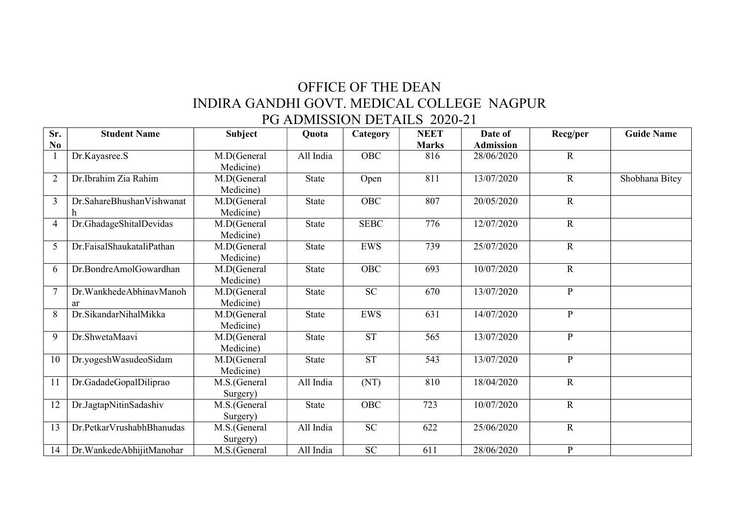## OFFICE OF THE DEAN INDIRA GANDHI GOVT. MEDICAL COLLEGE NAGPUR PG ADMISSION DETAILS 2020-21

| Sr. | <b>Student Name</b>           | Subject                  | Quota        | Category    | <b>NEET</b>  | Date of          | Recg/per       | <b>Guide Name</b> |
|-----|-------------------------------|--------------------------|--------------|-------------|--------------|------------------|----------------|-------------------|
| No  |                               |                          |              |             | <b>Marks</b> | <b>Admission</b> |                |                   |
|     | Dr.Kayasree.S                 | M.D(General<br>Medicine) | All India    | <b>OBC</b>  | 816          | 28/06/2020       | $\mathbf R$    |                   |
|     | Dr.Ibrahim Zia Rahim          | M.D(General<br>Medicine) | <b>State</b> | Open        | 811          | 13/07/2020       | $\mathbf R$    | Shobhana Bitey    |
| 3   | Dr.SahareBhushanVishwanat     | M.D(General<br>Medicine) | <b>State</b> | OBC         | 807          | 20/05/2020       | $\mathbf R$    |                   |
| 4   | Dr.GhadageShitalDevidas       | M.D(General<br>Medicine) | <b>State</b> | <b>SEBC</b> | 776          | 12/07/2020       | $\mathbf R$    |                   |
| 5   | Dr.FaisalShaukataliPathan     | M.D(General<br>Medicine) | <b>State</b> | <b>EWS</b>  | 739          | 25/07/2020       | $\mathbf R$    |                   |
| 6   | Dr.BondreAmolGowardhan        | M.D(General<br>Medicine) | <b>State</b> | <b>OBC</b>  | 693          | 10/07/2020       | $\mathbf R$    |                   |
|     | Dr.WankhedeAbhinavManoh<br>ar | M.D(General<br>Medicine) | State        | SC          | 670          | 13/07/2020       | $\mathbf{P}$   |                   |
| 8   | Dr.SikandarNihalMikka         | M.D(General<br>Medicine) | <b>State</b> | <b>EWS</b>  | 631          | 14/07/2020       | $\mathbf{P}$   |                   |
| 9   | Dr.ShwetaMaavi                | M.D(General<br>Medicine) | State        | <b>ST</b>   | 565          | 13/07/2020       | $\mathbf{P}$   |                   |
| 10  | Dr.yogeshWasudeoSidam         | M.D(General<br>Medicine) | <b>State</b> | <b>ST</b>   | 543          | 13/07/2020       | $\mathbf{P}$   |                   |
| 11  | Dr.GadadeGopalDiliprao        | M.S.(General<br>Surgery) | All India    | (NT)        | 810          | 18/04/2020       | $\mathbf R$    |                   |
| 12  | Dr.JagtapNitinSadashiv        | M.S.(General<br>Surgery) | State        | <b>OBC</b>  | 723          | 10/07/2020       | $\overline{R}$ |                   |
| 13  | Dr.PetkarVrushabhBhanudas     | M.S.(General<br>Surgery) | All India    | SC          | 622          | 25/06/2020       | $\mathbf R$    |                   |
| 14  | Dr. Wankede Abhijit Manohar   | M.S.(General             | All India    | SC          | 611          | 28/06/2020       | $\mathbf{P}$   |                   |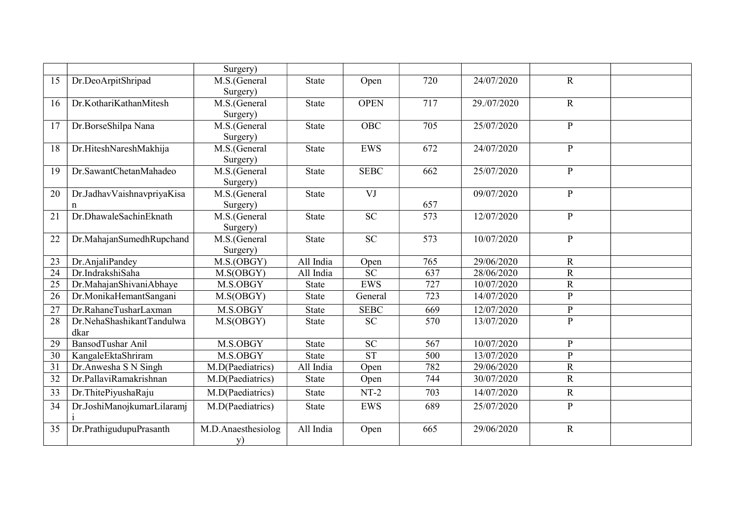|    |                            | Surgery)           |              |             |     |             |              |  |
|----|----------------------------|--------------------|--------------|-------------|-----|-------------|--------------|--|
| 15 | Dr.DeoArpitShripad         | M.S.(General       | <b>State</b> | Open        | 720 | 24/07/2020  | $\mathbf R$  |  |
|    |                            | Surgery)           |              |             |     |             |              |  |
| 16 | Dr.KothariKathanMitesh     | M.S.(General       | <b>State</b> | <b>OPEN</b> | 717 | 29./07/2020 | $\mathbf R$  |  |
|    |                            | Surgery)           |              |             |     |             |              |  |
| 17 | Dr.BorseShilpa Nana        | M.S.(General       | <b>State</b> | <b>OBC</b>  | 705 | 25/07/2020  | $\mathbf{P}$ |  |
|    |                            | Surgery)           |              |             |     |             |              |  |
| 18 | Dr.HiteshNareshMakhija     | M.S.(General       | <b>State</b> | <b>EWS</b>  | 672 | 24/07/2020  | $\mathbf{P}$ |  |
|    |                            | Surgery)           |              |             |     |             |              |  |
| 19 | Dr.SawantChetanMahadeo     | M.S.(General       | <b>State</b> | <b>SEBC</b> | 662 | 25/07/2020  | $\mathbf{P}$ |  |
|    |                            | Surgery)           |              |             |     |             |              |  |
| 20 | Dr.JadhavVaishnavpriyaKisa | M.S.(General       | <b>State</b> | VJ          |     | 09/07/2020  | $\mathbf{P}$ |  |
|    | n                          | Surgery)           |              |             | 657 |             |              |  |
| 21 | Dr.DhawaleSachinEknath     | M.S.(General       | <b>State</b> | SC          | 573 | 12/07/2020  | ${\bf P}$    |  |
|    |                            | Surgery)           |              |             |     |             |              |  |
| 22 | Dr.MahajanSumedhRupchand   | M.S.(General       | <b>State</b> | SC          | 573 | 10/07/2020  | $\mathbf{P}$ |  |
|    |                            | Surgery)           |              |             |     |             |              |  |
| 23 | Dr.AnjaliPandey            | M.S.(OBGY)         | All India    | Open        | 765 | 29/06/2020  | $\mathbf R$  |  |
| 24 | Dr.IndrakshiSaha           | M.S(OBGY)          | All India    | <b>SC</b>   | 637 | 28/06/2020  | $\mathbf R$  |  |
| 25 | Dr.MahajanShivaniAbhaye    | M.S.OBGY           | <b>State</b> | <b>EWS</b>  | 727 | 10/07/2020  | $\mathbf R$  |  |
| 26 | Dr.MonikaHemantSangani     | M.S(OBGY)          | <b>State</b> | General     | 723 | 14/07/2020  | $\mathbf{P}$ |  |
| 27 | Dr.RahaneTusharLaxman      | M.S.OBGY           | State        | <b>SEBC</b> | 669 | 12/07/2020  | $\, {\bf p}$ |  |
| 28 | Dr.NehaShashikantTandulwa  | M.S(OBGY)          | State        | <b>SC</b>   | 570 | 13/07/2020  | $\mathbf{P}$ |  |
|    | dkar                       |                    |              |             |     |             |              |  |
| 29 | BansodTushar Anil          | M.S.OBGY           | <b>State</b> | <b>SC</b>   | 567 | 10/07/2020  | $\mathbf{P}$ |  |
| 30 | KangaleEktaShriram         | M.S.OBGY           | <b>State</b> | <b>ST</b>   | 500 | 13/07/2020  | $\mathbf{P}$ |  |
| 31 | Dr. Anwesha S N Singh      | M.D(Paediatrics)   | All India    | Open        | 782 | 29/06/2020  | $\mathbb{R}$ |  |
| 32 | Dr.PallaviRamakrishnan     | M.D(Paediatrics)   | <b>State</b> | Open        | 744 | 30/07/2020  | $\mathbf R$  |  |
| 33 | Dr. ThitePiyushaRaju       | M.D(Paediatrics)   | <b>State</b> | $NT-2$      | 703 | 14/07/2020  | ${\bf R}$    |  |
| 34 | Dr.JoshiManojkumarLilaramj | M.D(Paediatrics)   | <b>State</b> | <b>EWS</b>  | 689 | 25/07/2020  | $\mathbf{P}$ |  |
|    |                            |                    |              |             |     |             |              |  |
| 35 | Dr.PrathigudupuPrasanth    | M.D.Anaesthesiolog | All India    | Open        | 665 | 29/06/2020  | ${\bf R}$    |  |
|    |                            | y)                 |              |             |     |             |              |  |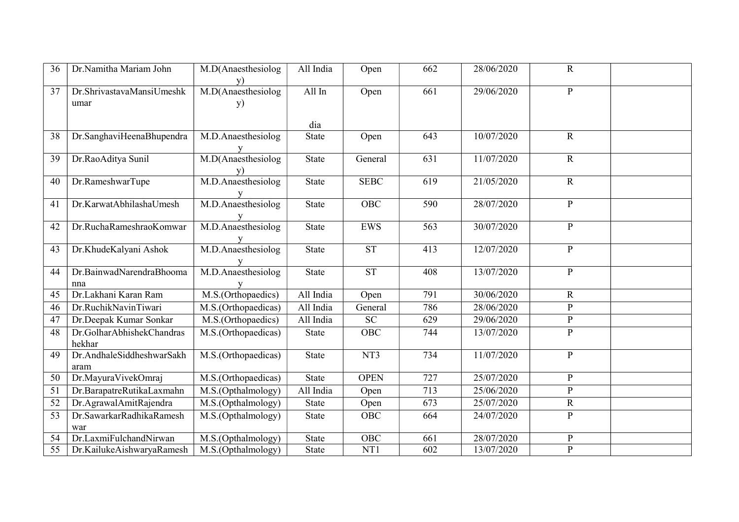| 36 | Dr.Namitha Mariam John    | M.D(Anaesthesiolog                    | All India    | Open             | 662 | 28/06/2020 | $\mathbf R$    |  |
|----|---------------------------|---------------------------------------|--------------|------------------|-----|------------|----------------|--|
| 37 | Dr.ShrivastavaMansiUmeshk | M.D(Anaesthesiolog                    | All In       | Open             | 661 | 29/06/2020 | ${\bf P}$      |  |
|    | umar                      | y)                                    |              |                  |     |            |                |  |
|    |                           |                                       |              |                  |     |            |                |  |
|    |                           |                                       | dia          |                  |     |            |                |  |
| 38 | Dr.SanghaviHeenaBhupendra | M.D.Anaesthesiolog                    | <b>State</b> | Open             | 643 | 10/07/2020 | ${\bf R}$      |  |
|    |                           |                                       |              |                  |     |            |                |  |
| 39 | Dr.RaoAditya Sunil        | M.D(Anaesthesiolog                    | <b>State</b> | General          | 631 | 11/07/2020 | ${\bf R}$      |  |
|    |                           | $\frac{y}{M.D. An a established log}$ |              |                  |     |            |                |  |
| 40 | Dr.RameshwarTupe          |                                       | <b>State</b> | <b>SEBC</b>      | 619 | 21/05/2020 | $\mathbf R$    |  |
| 41 | Dr.KarwatAbhilashaUmesh   | M.D.Anaesthesiolog                    | <b>State</b> | OBC              | 590 | 28/07/2020 | ${\bf P}$      |  |
|    |                           |                                       |              |                  |     |            |                |  |
| 42 | Dr.RuchaRameshraoKomwar   | M.D.Anaesthesiolog                    | <b>State</b> | <b>EWS</b>       | 563 | 30/07/2020 | ${\bf P}$      |  |
|    |                           |                                       |              |                  |     |            |                |  |
| 43 | Dr.KhudeKalyani Ashok     | M.D.Anaesthesiolog                    | <b>State</b> | <b>ST</b>        | 413 | 12/07/2020 | ${\bf P}$      |  |
|    |                           |                                       |              |                  |     |            |                |  |
| 44 | Dr.BainwadNarendraBhooma  | M.D.Anaesthesiolog                    | <b>State</b> | <b>ST</b>        | 408 | 13/07/2020 | ${\bf P}$      |  |
|    | nna                       |                                       |              |                  |     |            |                |  |
| 45 | Dr.Lakhani Karan Ram      | M.S.(Orthopaedics)                    | All India    | Open             | 791 | 30/06/2020 | $\mathbf R$    |  |
| 46 | Dr.RuchikNavinTiwari      | M.S.(Orthopaedicas)                   | All India    | General          | 786 | 28/06/2020 | ${\bf P}$      |  |
| 47 | Dr.Deepak Kumar Sonkar    | M.S.(Orthopaedics)                    | All India    | <b>SC</b>        | 629 | 29/06/2020 | ${\bf P}$      |  |
| 48 | Dr.GolharAbhishekChandras | M.S.(Orthopaedicas)                   | State        | <b>OBC</b>       | 744 | 13/07/2020 | $\overline{P}$ |  |
|    | hekhar                    |                                       |              |                  |     |            |                |  |
| 49 | Dr.AndhaleSiddheshwarSakh | M.S.(Orthopaedicas)                   | <b>State</b> | NT3              | 734 | 11/07/2020 | ${\bf P}$      |  |
|    | aram                      |                                       |              |                  |     |            |                |  |
| 50 | Dr.MayuraVivekOmraj       | M.S.(Orthopaedicas)                   | <b>State</b> | <b>OPEN</b>      | 727 | 25/07/2020 | $\mathbf{P}$   |  |
| 51 | Dr.BarapatreRutikaLaxmahn | M.S.(Opthalmology)                    | All India    | Open             | 713 | 25/06/2020 | $\mathbf{P}$   |  |
| 52 | Dr.AgrawalAmitRajendra    | M.S.(Opthalmology)                    | <b>State</b> | Open             | 673 | 25/07/2020 | $\mathbf R$    |  |
| 53 | Dr.SawarkarRadhikaRamesh  | M.S.(Opthalmology)                    | <b>State</b> | <b>OBC</b>       | 664 | 24/07/2020 | ${\bf P}$      |  |
|    | war                       |                                       |              |                  |     |            |                |  |
| 54 | Dr.LaxmiFulchandNirwan    | M.S.(Opthalmology)                    | <b>State</b> | <b>OBC</b>       | 661 | 28/07/2020 | ${\bf P}$      |  |
| 55 | Dr.KailukeAishwaryaRamesh | M.S.(Opthalmology)                    | <b>State</b> | $\overline{NT1}$ | 602 | 13/07/2020 | $\overline{P}$ |  |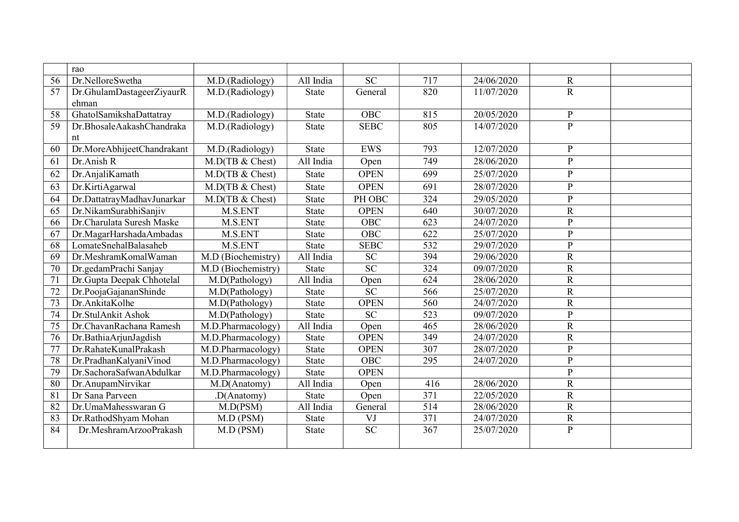|    | rao                        |                    |              |                 |                  |            |                |  |
|----|----------------------------|--------------------|--------------|-----------------|------------------|------------|----------------|--|
| 56 | Dr.NelloreSwetha           | M.D.(Radiology)    | All India    | <b>SC</b>       | 717              | 24/06/2020 | $\mathbf R$    |  |
| 57 | Dr.GhulamDastageerZiyaurR  | M.D.(Radiology)    | <b>State</b> | General         | 820              | 11/07/2020 | $\mathbf R$    |  |
|    | ehman                      |                    |              |                 |                  |            |                |  |
| 58 | GhatolSamikshaDattatray    | M.D.(Radiology)    | <b>State</b> | <b>OBC</b>      | 815              | 20/05/2020 | ${\bf P}$      |  |
| 59 | Dr.BhosaleAakashChandraka  | M.D.(Radiology)    | <b>State</b> | <b>SEBC</b>     | 805              | 14/07/2020 | $\mathbf{P}$   |  |
|    | nt                         |                    |              |                 |                  |            |                |  |
| 60 | Dr.MoreAbhijeetChandrakant | M.D.(Radiology)    | <b>State</b> | <b>EWS</b>      | 793              | 12/07/2020 | P              |  |
| 61 | Dr.Anish R                 | M.D(TB & Chest)    | All India    | Open            | 749              | 28/06/2020 | $\mathbf{P}$   |  |
| 62 | Dr.AnjaliKamath            | M.D(TB & Chest)    | State        | <b>OPEN</b>     | 699              | 25/07/2020 | $\mathbf{P}$   |  |
| 63 | Dr.KirtiAgarwal            | M.D(TB & Chest)    | State        | <b>OPEN</b>     | 691              | 28/07/2020 | $\mathbf P$    |  |
| 64 | Dr.DattatrayMadhavJunarkar | M.D(TB & Chest)    | <b>State</b> | PH OBC          | 324              | 29/05/2020 | $\overline{P}$ |  |
| 65 | Dr.NikamSurabhiSanjiv      | M.S.ENT            | <b>State</b> | <b>OPEN</b>     | 640              | 30/07/2020 | $\mathbf R$    |  |
| 66 | Dr.Charulata Suresh Maske  | M.S.ENT            | State        | OBC             | 623              | 24/07/2020 | $\mathbf{P}$   |  |
| 67 | Dr.MagarHarshadaAmbadas    | M.S.ENT            | <b>State</b> | <b>OBC</b>      | 622              | 25/07/2020 | $\mathbf{P}$   |  |
| 68 | LomateSnehalBalasaheb      | M.S.ENT            | State        | <b>SEBC</b>     | 532              | 29/07/2020 | $\mathbf P$    |  |
| 69 | Dr.MeshramKomalWaman       | M.D (Biochemistry) | All India    | <b>SC</b>       | 394              | 29/06/2020 | $\mathbf R$    |  |
| 70 | Dr.gedamPrachi Sanjay      | M.D (Biochemistry) | <b>State</b> | $\overline{SC}$ | 324              | 09/07/2020 | $\mathbf R$    |  |
| 71 | Dr.Gupta Deepak Chhotelal  | M.D(Pathology)     | All India    | Open            | 624              | 28/06/2020 | $\mathbf R$    |  |
| 72 | Dr.PoojaGajananShinde      | M.D(Pathology)     | State        | <b>SC</b>       | 566              | 25/07/2020 | ${\bf R}$      |  |
| 73 | Dr.AnkitaKolhe             | M.D(Pathology)     | <b>State</b> | <b>OPEN</b>     | 560              | 24/07/2020 | $\overline{R}$ |  |
| 74 | Dr.StulAnkit Ashok         | M.D(Pathology)     | State        | $\overline{SC}$ | 523              | 09/07/2020 | $\mathbf{P}$   |  |
| 75 | Dr.ChavanRachana Ramesh    | M.D.Pharmacology)  | All India    | Open            | 465              | 28/06/2020 | $\mathbf R$    |  |
| 76 | Dr.BathiaArjunJagdish      | M.D.Pharmacology)  | State        | <b>OPEN</b>     | 349              | 24/07/2020 | $\mathbf R$    |  |
| 77 | Dr.RahateKunalPrakash      | M.D.Pharmacology)  | State        | <b>OPEN</b>     | 307              | 28/07/2020 | $\mathbf P$    |  |
| 78 | Dr.PradhanKalyaniVinod     | M.D.Pharmacology)  | <b>State</b> | OBC             | 295              | 24/07/2020 | P              |  |
| 79 | Dr.SachoraSafwanAbdulkar   | M.D.Pharmacology)  | <b>State</b> | <b>OPEN</b>     |                  |            | $\overline{P}$ |  |
| 80 | Dr.AnupamNirvikar          | M.D(Anatomy)       | All India    | Open            | 416              | 28/06/2020 | $\mathbf R$    |  |
| 81 | Dr Sana Parveen            | .D(Anatomy)        | <b>State</b> | Open            | 371              | 22/05/2020 | $\mathbf R$    |  |
| 82 | Dr.UmaMahesswaran G        | M.D(PSM)           | All India    | General         | 514              | 28/06/2020 | $\mathbf R$    |  |
| 83 | Dr.RathodShyam Mohan       | $M.D$ (PSM)        | State        | VJ              | 371              | 24/07/2020 | ${\bf R}$      |  |
| 84 | Dr.MeshramArzooPrakash     | $M.D$ (PSM)        | <b>State</b> | $\overline{SC}$ | $\overline{367}$ | 25/07/2020 | $\mathbf{P}$   |  |
|    |                            |                    |              |                 |                  |            |                |  |